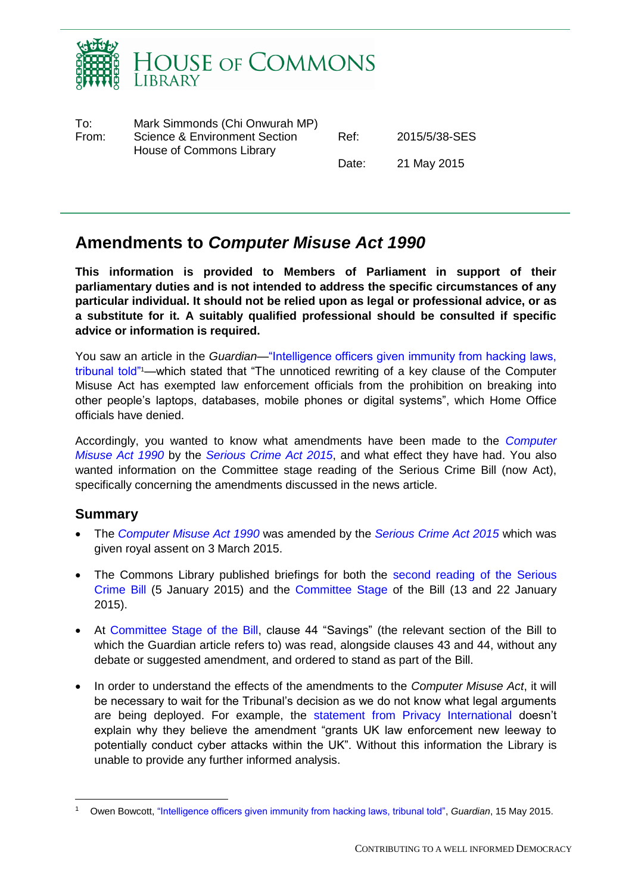

| To:   | Mark Simmonds (Chi Onwurah MP)                            |       |               |
|-------|-----------------------------------------------------------|-------|---------------|
| From: | Science & Environment Section<br>House of Commons Library | Ref:  | 2015/5/38-SES |
|       |                                                           | Date: | 21 May 2015   |

# **Amendments to** *Computer Misuse Act 1990*

**This information is provided to Members of Parliament in support of their parliamentary duties and is not intended to address the specific circumstances of any particular individual. It should not be relied upon as legal or professional advice, or as a substitute for it. A suitably qualified professional should be consulted if specific advice or information is required.**

You saw an article in the *Guardian—*["Intelligence officers given immunity from hacking laws,](http://www.theguardian.com/uk-news/2015/may/15/intelligence-officers-have-immunity-from-hacking-laws-tribunal-told)  [tribunal told"](http://www.theguardian.com/uk-news/2015/may/15/intelligence-officers-have-immunity-from-hacking-laws-tribunal-told)1—which stated that "The unnoticed rewriting of a key clause of the Computer Misuse Act has exempted law enforcement officials from the prohibition on breaking into other people's laptops, databases, mobile phones or digital systems", which Home Office officials have denied.

Accordingly, you wanted to know what amendments have been made to the *[Computer](http://www.google.co.uk/url?sa=t&rct=j&q=&esrc=s&source=web&cd=3&ved=0CDYQFjAC&url=http%3A%2F%2Fwww.legislation.gov.uk%2Fukpga%2F1990%2F18%2Fcontents&ei=R8ZdVamsNKWt7Aa2mYCACw&usg=AFQjCNFuuZIKGY2ZIys4QBb-uloUDUFcRQ&sig2=MJAeoFM65QRlnuqNjDQp6g&bvm=bv.93756505,d.ZGU)  [Misuse Act 1990](http://www.google.co.uk/url?sa=t&rct=j&q=&esrc=s&source=web&cd=3&ved=0CDYQFjAC&url=http%3A%2F%2Fwww.legislation.gov.uk%2Fukpga%2F1990%2F18%2Fcontents&ei=R8ZdVamsNKWt7Aa2mYCACw&usg=AFQjCNFuuZIKGY2ZIys4QBb-uloUDUFcRQ&sig2=MJAeoFM65QRlnuqNjDQp6g&bvm=bv.93756505,d.ZGU)* by the *[Serious Crime Act 2015](http://www.legislation.gov.uk/ukpga/2015/9/part/2/enacted)*, and what effect they have had. You also wanted information on the Committee stage reading of the Serious Crime Bill (now Act), specifically concerning the amendments discussed in the news article.

### **Summary**

 $\overline{a}$ 

- The *[Computer Misuse Act 1990](http://www.google.co.uk/url?sa=t&rct=j&q=&esrc=s&source=web&cd=3&ved=0CDYQFjAC&url=http%3A%2F%2Fwww.legislation.gov.uk%2Fukpga%2F1990%2F18%2Fcontents&ei=R8ZdVamsNKWt7Aa2mYCACw&usg=AFQjCNFuuZIKGY2ZIys4QBb-uloUDUFcRQ&sig2=MJAeoFM65QRlnuqNjDQp6g&bvm=bv.93756505,d.ZGU)* was amended by the *[Serious Crime Act 2015](http://www.legislation.gov.uk/ukpga/2015/9/part/2/enacted)* which was given royal assent on 3 March 2015.
- The Commons Library published briefings for both the second reading of the Serious [Crime Bill](http://researchbriefings.parliament.uk/ResearchBriefing/Summary/RP14-67) (5 January 2015) and the [Committee Stage](http://researchbriefings.parliament.uk/ResearchBriefing/Summary/SN07101) of the Bill (13 and 22 January 2015).
- At [Committee Stage of the Bill,](http://www.publications.parliament.uk/pa/cm201415/cmpublic/seriouscrime/150113/pm/150113s01.htm) clause 44 "Savings" (the relevant section of the Bill to which the Guardian article refers to) was read, alongside clauses 43 and 44, without any debate or suggested amendment, and ordered to stand as part of the Bill.
- In order to understand the effects of the amendments to the *Computer Misuse Act*, it will be necessary to wait for the Tribunal's decision as we do not know what legal arguments are being deployed. For example, the [statement from Privacy International](https://www.privacyinternational.org/?q=node/584) doesn't explain why they believe the amendment "grants UK law enforcement new leeway to potentially conduct cyber attacks within the UK". Without this information the Library is unable to provide any further informed analysis.

<sup>1</sup> Owen Bowcott, ["Intelligence officers given immunity from hacking laws, tribunal told",](http://www.theguardian.com/uk-news/2015/may/15/intelligence-officers-have-immunity-from-hacking-laws-tribunal-told) *Guardian*, 15 May 2015.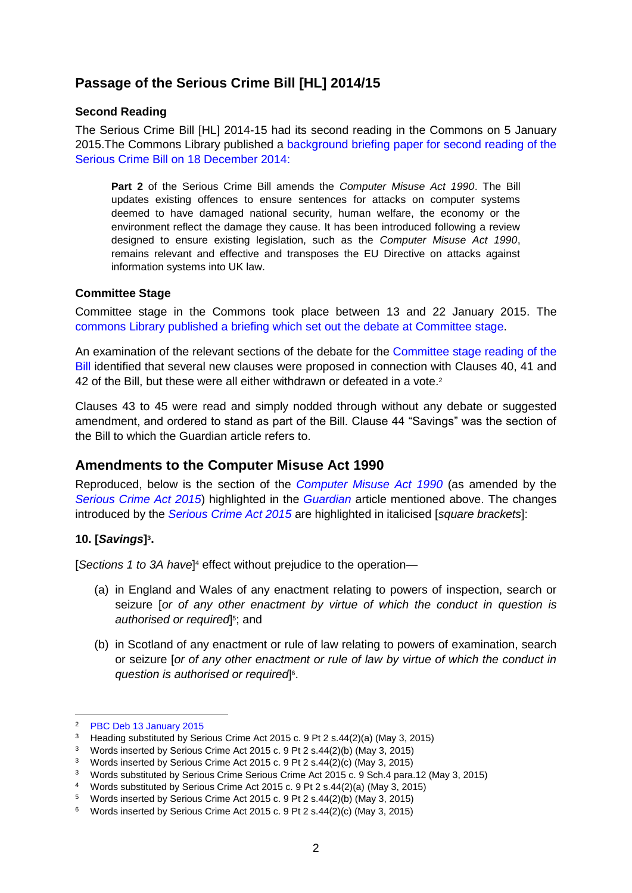## **Passage of the Serious Crime Bill [HL] 2014/15**

#### **Second Reading**

The Serious Crime Bill [HL] 2014-15 had its second reading in the Commons on 5 January 2015. The Commons Library published a background briefing paper for second reading of the [Serious Crime Bill on 18 December 2014:](http://researchbriefings.parliament.uk/ResearchBriefing/Summary/RP14-67)

**Part 2** of the Serious Crime Bill amends the *Computer Misuse Act 1990*. The Bill updates existing offences to ensure sentences for attacks on computer systems deemed to have damaged national security, human welfare, the economy or the environment reflect the damage they cause. It has been introduced following a review designed to ensure existing legislation, such as the *Computer Misuse Act 1990*, remains relevant and effective and transposes the EU Directive on attacks against information systems into UK law.

#### **Committee Stage**

Committee stage in the Commons took place between 13 and 22 January 2015. The [commons Library published a briefing which set out the debate at Committee stage.](http://researchbriefings.parliament.uk/ResearchBriefing/Summary/SN07101)

An examination of the relevant sections of the debate for the [Committee stage reading of the](http://www.publications.parliament.uk/pa/cm201415/cmpublic/seriouscrime/150113/pm/150113s01.htm)  [Bill](http://www.publications.parliament.uk/pa/cm201415/cmpublic/seriouscrime/150113/pm/150113s01.htm) identified that several new clauses were proposed in connection with Clauses 40, 41 and 42 of the Bill, but these were all either withdrawn or defeated in a vote.<sup>2</sup>

Clauses 43 to 45 were read and simply nodded through without any debate or suggested amendment, and ordered to stand as part of the Bill. Clause 44 "Savings" was the section of the Bill to which the Guardian article refers to.

#### **Amendments to the Computer Misuse Act 1990**

Reproduced, below is the section of the *[Computer Misuse Act 1990](http://www.google.co.uk/url?sa=t&rct=j&q=&esrc=s&source=web&cd=3&ved=0CDYQFjAC&url=http%3A%2F%2Fwww.legislation.gov.uk%2Fukpga%2F1990%2F18%2Fcontents&ei=R8ZdVamsNKWt7Aa2mYCACw&usg=AFQjCNFuuZIKGY2ZIys4QBb-uloUDUFcRQ&sig2=MJAeoFM65QRlnuqNjDQp6g&bvm=bv.93756505,d.ZGU)* (as amended by the *[Serious Crime Act 2015](http://www.legislation.gov.uk/ukpga/2015/9/part/2/enacted)*) highlighted in the *[Guardian](http://www.theguardian.com/uk-news/2015/may/15/intelligence-officers-have-immunity-from-hacking-laws-tribunal-told)* article mentioned above. The changes introduced by the *[Serious Crime Act 2015](http://www.legislation.gov.uk/ukpga/2015/9/part/2/enacted)* are highlighted in italicised [*square brackets*]:

#### **10. [***Savings***] 3 .**

[*Sections 1 to 3A have*] <sup>4</sup> effect without prejudice to the operation—

- (a) in England and Wales of any enactment relating to powers of inspection, search or seizure [*or of any other enactment by virtue of which the conduct in question is*  authorised or required<sup>[5</sup>; and
- (b) in Scotland of any enactment or rule of law relating to powers of examination, search or seizure [*or of any other enactment or rule of law by virtue of which the conduct in question is authorised or required*] 6 .

 $\overline{a}$ 

<sup>2</sup> [PBC Deb 13 January 2015](http://www.publications.parliament.uk/pa/cm201415/cmpublic/seriouscrime/150113/pm/150113s01.htm)

<sup>3</sup> Heading substituted by Serious Crime Act 2015 c. 9 Pt 2 s.44(2)(a) (May 3, 2015)

<sup>3</sup> Words inserted by Serious Crime Act 2015 c. 9 Pt 2 s.44(2)(b) (May 3, 2015)

<sup>3</sup> Words inserted by Serious Crime Act 2015 c. 9 Pt 2 s.44(2)(c) (May 3, 2015)

<sup>3</sup> Words substituted by Serious Crime Serious Crime Act 2015 c. 9 Sch.4 para.12 (May 3, 2015)

<sup>4</sup> Words substituted by Serious Crime Act 2015 c. 9 Pt 2 s.44(2)(a) (May 3, 2015)

<sup>5</sup> Words inserted by Serious Crime Act 2015 c. 9 Pt 2 s.44(2)(b) (May 3, 2015)

<sup>6</sup> Words inserted by Serious Crime Act 2015 c. 9 Pt 2 s.44(2)(c) (May 3, 2015)